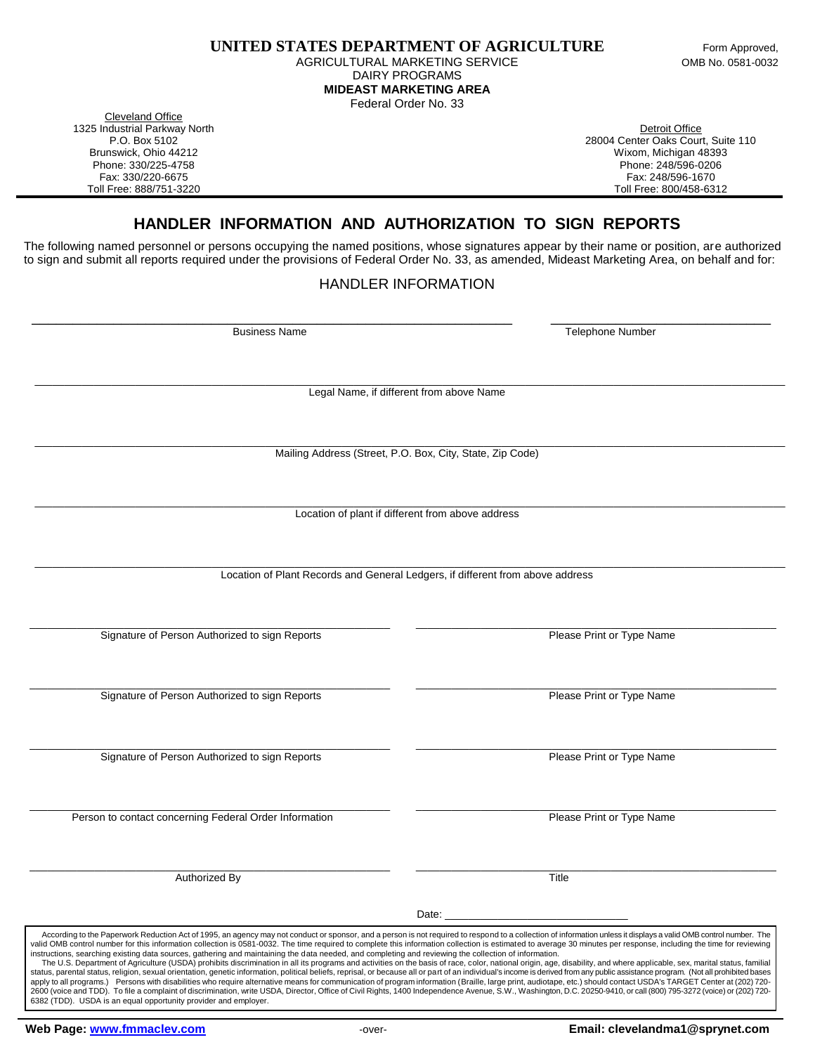AGRICULTURAL MARKETING SERVICE **CONSUMING THE SERVICE** OMB No. 0581-0032 DAIRY PROGRAMS **MIDEAST MARKETING AREA**

Federal Order No. 33

Cleveland Office 1325 Industrial Parkway North **Detroit Office** And The Control of Text of Text of Text of Text of Text of Text of Text of Text of Text of Text of Text of Text of Text of Text of Text of Text of Text of Text of Text of Text

P.O. Box 5102 28004 Center Oaks Court, Suite 110 Brunswick, Ohio 44212 Wixom, Michigan 48393 Phone: 330/225-4758 Phone: 248/596-0206 Fax: 330/220-6675 Fax: 248/596-1670 Toll Free: 800/458-6312

## **HANDLER INFORMATION AND AUTHORIZATION TO SIGN REPORTS**

The following named personnel or persons occupying the named positions, whose signatures appear by their name or position, are authorized to sign and submit all reports required under the provisions of Federal Order No. 33, as amended, Mideast Marketing Area, on behalf and for:

## HANDLER INFORMATION

 \_\_\_\_\_\_\_\_\_\_\_\_\_\_\_\_\_\_\_\_\_\_\_\_\_\_\_\_\_\_\_\_\_\_\_\_\_\_\_\_\_\_\_\_\_\_\_\_\_\_\_\_\_\_\_\_\_\_\_ \_\_\_\_\_\_\_\_\_\_\_\_\_\_\_\_\_\_\_\_\_\_\_\_\_\_\_ Business Name Telephone Number  $\_$  ,  $\_$  ,  $\_$  ,  $\_$  ,  $\_$  ,  $\_$  ,  $\_$  ,  $\_$  ,  $\_$  ,  $\_$  ,  $\_$  ,  $\_$  ,  $\_$  ,  $\_$  ,  $\_$  ,  $\_$  ,  $\_$  ,  $\_$  ,  $\_$  ,  $\_$  ,  $\_$  ,  $\_$  ,  $\_$  ,  $\_$  ,  $\_$  ,  $\_$  ,  $\_$  ,  $\_$  ,  $\_$  ,  $\_$  ,  $\_$  ,  $\_$  ,  $\_$  ,  $\_$  ,  $\_$  ,  $\_$  ,  $\_$  , Legal Name, if different from above Name \_\_\_\_\_\_\_\_\_\_\_\_\_\_\_\_\_\_\_\_\_\_\_\_\_\_\_\_\_\_\_\_\_\_\_\_\_\_\_\_\_\_\_\_\_\_\_\_\_\_\_\_\_\_\_\_\_\_\_\_\_\_\_\_\_\_\_\_\_\_\_\_\_\_\_\_\_\_\_\_\_\_\_\_\_\_\_\_\_\_\_\_\_\_\_\_\_\_\_\_\_\_\_\_\_\_\_\_\_\_\_\_\_\_\_\_\_\_\_\_\_\_\_\_\_\_\_ Mailing Address (Street, P.O. Box, City, State, Zip Code) \_\_\_\_\_\_\_\_\_\_\_\_\_\_\_\_\_\_\_\_\_\_\_\_\_\_\_\_\_\_\_\_\_\_\_\_\_\_\_\_\_\_\_\_\_\_\_\_\_\_\_\_\_\_\_\_\_\_\_\_\_\_\_\_\_\_\_\_\_\_\_\_\_\_\_\_\_\_\_\_\_\_\_\_\_\_\_\_\_\_\_\_\_\_\_\_\_\_\_\_\_\_\_\_\_\_\_\_\_\_\_\_\_\_\_\_\_\_\_\_\_\_\_\_\_\_\_ Location of plant if different from above address \_\_\_\_\_\_\_\_\_\_\_\_\_\_\_\_\_\_\_\_\_\_\_\_\_\_\_\_\_\_\_\_\_\_\_\_\_\_\_\_\_\_\_\_\_\_\_\_\_\_\_\_\_\_\_\_\_\_\_\_\_\_\_\_\_\_\_\_\_\_\_\_\_\_\_\_\_\_\_\_\_\_\_\_\_\_\_\_\_\_\_\_\_\_\_\_\_\_\_\_\_\_\_\_\_\_\_\_\_\_\_\_\_\_\_\_\_\_\_\_\_\_\_\_\_\_\_ Location of Plant Records and General Ledgers, if different from above address \_\_\_\_\_\_\_\_\_\_\_\_\_\_\_\_\_\_\_\_\_\_\_\_\_\_\_\_\_\_\_\_\_\_\_\_\_\_\_\_\_\_\_\_\_\_\_\_\_\_\_\_\_\_\_\_\_\_\_\_\_ \_\_\_\_\_\_\_\_\_\_\_\_\_\_\_\_\_\_\_\_\_\_\_\_\_\_\_\_\_\_\_\_\_\_\_\_\_\_\_\_\_\_\_\_\_\_\_\_\_\_\_\_\_\_\_\_\_\_\_\_\_ Signature of Person Authorized to sign Reports **Print of Type Name** Please Print or Type Name \_\_\_\_\_\_\_\_\_\_\_\_\_\_\_\_\_\_\_\_\_\_\_\_\_\_\_\_\_\_\_\_\_\_\_\_\_\_\_\_\_\_\_\_\_\_\_\_\_\_\_\_\_\_\_\_\_\_\_\_\_ \_\_\_\_\_\_\_\_\_\_\_\_\_\_\_\_\_\_\_\_\_\_\_\_\_\_\_\_\_\_\_\_\_\_\_\_\_\_\_\_\_\_\_\_\_\_\_\_\_\_\_\_\_\_\_\_\_\_\_\_\_ Signature of Person Authorized to sign Reports **Please Print of Type Name**  \_\_\_\_\_\_\_\_\_\_\_\_\_\_\_\_\_\_\_\_\_\_\_\_\_\_\_\_\_\_\_\_\_\_\_\_\_\_\_\_\_\_\_\_\_\_\_\_\_\_\_\_\_\_\_\_\_\_\_\_\_ \_\_\_\_\_\_\_\_\_\_\_\_\_\_\_\_\_\_\_\_\_\_\_\_\_\_\_\_\_\_\_\_\_\_\_\_\_\_\_\_\_\_\_\_\_\_\_\_\_\_\_\_\_\_\_\_\_\_\_\_\_ Signature of Person Authorized to sign Reports **Please Print of Type Name** Please Print or Type Name  $\overline{\phantom{a}}$  , and the set of the set of the set of the set of the set of the set of the set of the set of the set of the set of the set of the set of the set of the set of the set of the set of the set of the set of the s Person to contact concerning Federal Order Information **Properties According to the Contact Order Information** Please Print or Type Name \_\_\_\_\_\_\_\_\_\_\_\_\_\_\_\_\_\_\_\_\_\_\_\_\_\_\_\_\_\_\_\_\_\_\_\_\_\_\_\_\_\_\_\_\_\_\_\_\_\_\_\_\_\_\_\_\_\_\_\_\_ \_\_\_\_\_\_\_\_\_\_\_\_\_\_\_\_\_\_\_\_\_\_\_\_\_\_\_\_\_\_\_\_\_\_\_\_\_\_\_\_\_\_\_\_\_\_\_\_\_\_\_\_\_\_\_\_\_\_\_\_\_ Authorized By Title Date: \_\_\_\_\_\_\_\_\_\_\_\_\_\_\_\_\_\_\_\_\_\_\_\_\_\_\_\_\_\_\_ According to the Paperwork Reduction Act of 1995, an agency may not conduct or sponsor, and a person is not required to respond to a collection of information unless it displays a valid OMB control number. The valid OMB control number for this information collection is 0581-0032. The time required to complete this information collection is estimated to average 30 minutes per response, including the time for reviewing instructions, searching existing data sources, gathering and maintaining the data needed, and completing and reviewing the collection of information. The U.S. Department of Agriculture (USDA) prohibits discrimination in all its programs and activities on the basis of race, color, national origin, age, disability, and where applicable, sex, marital status, familial status, parental status, religion, sexual orientation, genetic information, political beliefs, reprisal, or because all or part of an individual's income is derived from any public assistance program. (Not all prohibited b apply to all programs.) Persons with disabilities who require alternative means for communication of program information (Braille, large print, audiotape, etc.) should contact USDA's TARGET Center at (202) 720-<br>2600 (voice

6382 (TDD). USDA is an equal opportunity provider and employer.